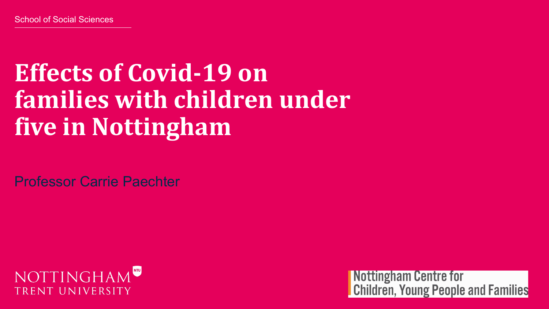## **Effects of Covid-19 on families with children under five in Nottingham**

Professor Carrie Paechter



Nottingham Centre for **Children, Young People and Families**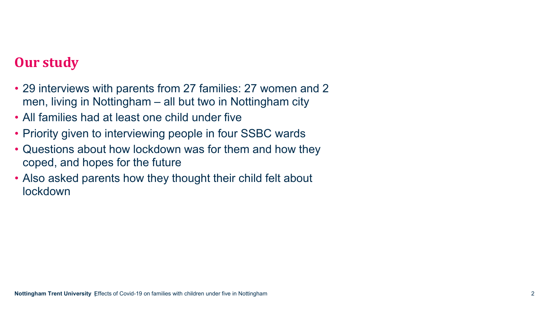#### **Our study**

- 29 interviews with parents from 27 families: 27 women and 2 men, living in Nottingham – all but two in Nottingham city
- All families had at least one child under five
- Priority given to interviewing people in four SSBC wards
- Questions about how lockdown was for them and how they coped, and hopes for the future
- Also asked parents how they thought their child felt about lockdown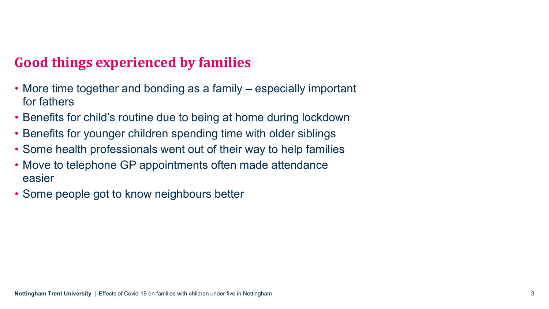### **Good things experienced by families**

- More time together and bonding as a family especially important for fathers
- Benefits for child's routine due to being at home during lockdown
- Benefits for younger children spending time with older siblings
- Some health professionals went out of their way to help families
- Move to telephone GP appointments often made attendance easier
- Some people got to know neighbours better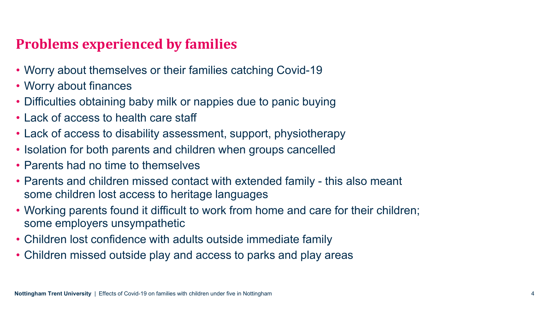### **Problems experienced by families**

- Worry about themselves or their families catching Covid-19
- Worry about finances
- Difficulties obtaining baby milk or nappies due to panic buying
- Lack of access to health care staff
- Lack of access to disability assessment, support, physiotherapy
- Isolation for both parents and children when groups cancelled
- Parents had no time to themselves
- Parents and children missed contact with extended family this also meant some children lost access to heritage languages
- Working parents found it difficult to work from home and care for their children; some employers unsympathetic
- Children lost confidence with adults outside immediate family
- Children missed outside play and access to parks and play areas